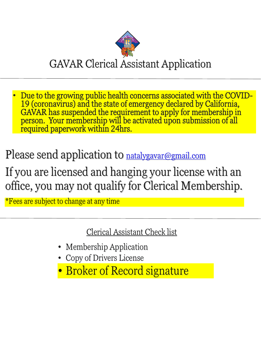

• Due to the growing public health concerns associated with the COVID-19 (coronavirus) and the state of emergency declared by California, GAVAR has suspended the requirement to apply for membership in person. Your membership will be activated upon submission of all required paperwork within 24hrs.

Please send application to <u>natalygavar@gmail.com</u>

If you are licensed and hanging your license with an office, you may not qualify for Clerical Membership.

\*Fees are subject to change at any time

Clerical Assistant Check list

- Membership Application
- Copy of Drivers License
- Broker of Record signature